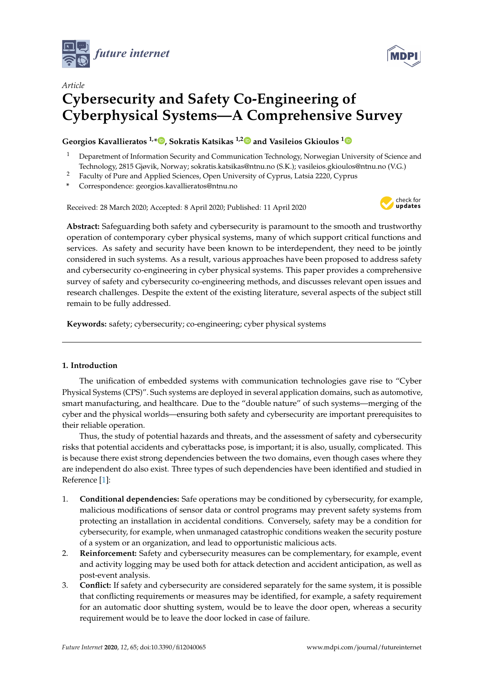



# *Article* **Cybersecurity and Safety Co-Engineering of Cyberphysical Systems—A Comprehensive Survey**

# **Georgios Kavallieratos 1,\* [,](https://orcid.org/0000-0003-1278-1943) Sokratis Katsikas 1,[2](https://orcid.org/0000-0003-2966-9683) and Vasileios Gkioulos [1](https://orcid.org/0000-0001-7304-3835)**

- <sup>1</sup> Deparetment of Information Security and Communication Technology, Norwegian University of Science and Technology, 2815 Gjøvik, Norway; sokratis.katsikas@ntnu.no (S.K.); vasileios.gkioulos@ntnu.no (V.G.)
- <sup>2</sup> Faculty of Pure and Applied Sciences, Open University of Cyprus, Latsia 2220, Cyprus
- **\*** Correspondence: georgios.kavallieratos@ntnu.no

Received: 28 March 2020; Accepted: 8 April 2020; Published: 11 April 2020



**Abstract:** Safeguarding both safety and cybersecurity is paramount to the smooth and trustworthy operation of contemporary cyber physical systems, many of which support critical functions and services. As safety and security have been known to be interdependent, they need to be jointly considered in such systems. As a result, various approaches have been proposed to address safety and cybersecurity co-engineering in cyber physical systems. This paper provides a comprehensive survey of safety and cybersecurity co-engineering methods, and discusses relevant open issues and research challenges. Despite the extent of the existing literature, several aspects of the subject still remain to be fully addressed.

**Keywords:** safety; cybersecurity; co-engineering; cyber physical systems

# **1. Introduction**

The unification of embedded systems with communication technologies gave rise to "Cyber Physical Systems (CPS)". Such systems are deployed in several application domains, such as automotive, smart manufacturing, and healthcare. Due to the "double nature" of such systems—merging of the cyber and the physical worlds—ensuring both safety and cybersecurity are important prerequisites to their reliable operation.

Thus, the study of potential hazards and threats, and the assessment of safety and cybersecurity risks that potential accidents and cyberattacks pose, is important; it is also, usually, complicated. This is because there exist strong dependencies between the two domains, even though cases where they are independent do also exist. Three types of such dependencies have been identified and studied in Reference [\[1\]](#page-12-0):

- 1. **Conditional dependencies:** Safe operations may be conditioned by cybersecurity, for example, malicious modifications of sensor data or control programs may prevent safety systems from protecting an installation in accidental conditions. Conversely, safety may be a condition for cybersecurity, for example, when unmanaged catastrophic conditions weaken the security posture of a system or an organization, and lead to opportunistic malicious acts.
- 2. **Reinforcement:** Safety and cybersecurity measures can be complementary, for example, event and activity logging may be used both for attack detection and accident anticipation, as well as post-event analysis.
- 3. **Conflict:** If safety and cybersecurity are considered separately for the same system, it is possible that conflicting requirements or measures may be identified, for example, a safety requirement for an automatic door shutting system, would be to leave the door open, whereas a security requirement would be to leave the door locked in case of failure.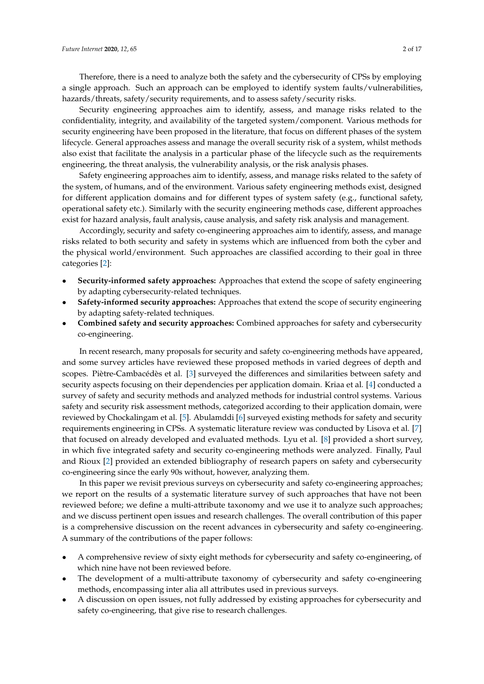Therefore, there is a need to analyze both the safety and the cybersecurity of CPSs by employing a single approach. Such an approach can be employed to identify system faults/vulnerabilities, hazards/threats, safety/security requirements, and to assess safety/security risks.

Security engineering approaches aim to identify, assess, and manage risks related to the confidentiality, integrity, and availability of the targeted system/component. Various methods for security engineering have been proposed in the literature, that focus on different phases of the system lifecycle. General approaches assess and manage the overall security risk of a system, whilst methods also exist that facilitate the analysis in a particular phase of the lifecycle such as the requirements engineering, the threat analysis, the vulnerability analysis, or the risk analysis phases.

Safety engineering approaches aim to identify, assess, and manage risks related to the safety of the system, of humans, and of the environment. Various safety engineering methods exist, designed for different application domains and for different types of system safety (e.g., functional safety, operational safety etc.). Similarly with the security engineering methods case, different approaches exist for hazard analysis, fault analysis, cause analysis, and safety risk analysis and management.

Accordingly, security and safety co-engineering approaches aim to identify, assess, and manage risks related to both security and safety in systems which are influenced from both the cyber and the physical world/environment. Such approaches are classified according to their goal in three categories [\[2\]](#page-12-1):

- **Security-informed safety approaches:** Approaches that extend the scope of safety engineering by adapting cybersecurity-related techniques.
- **Safety-informed security approaches:** Approaches that extend the scope of security engineering by adapting safety-related techniques.
- **Combined safety and security approaches:** Combined approaches for safety and cybersecurity co-engineering.

In recent research, many proposals for security and safety co-engineering methods have appeared, and some survey articles have reviewed these proposed methods in varied degrees of depth and scopes. Piètre-Cambacédès et al. [\[3\]](#page-12-2) surveyed the differences and similarities between safety and security aspects focusing on their dependencies per application domain. Kriaa et al. [\[4\]](#page-12-3) conducted a survey of safety and security methods and analyzed methods for industrial control systems. Various safety and security risk assessment methods, categorized according to their application domain, were reviewed by Chockalingam et al. [\[5\]](#page-12-4). Abulamddi [\[6\]](#page-12-5) surveyed existing methods for safety and security requirements engineering in CPSs. A systematic literature review was conducted by Lisova et al. [\[7\]](#page-12-6) that focused on already developed and evaluated methods. Lyu et al. [\[8\]](#page-12-7) provided a short survey, in which five integrated safety and security co-engineering methods were analyzed. Finally, Paul and Rioux [\[2\]](#page-12-1) provided an extended bibliography of research papers on safety and cybersecurity co-engineering since the early 90s without, however, analyzing them.

In this paper we revisit previous surveys on cybersecurity and safety co-engineering approaches; we report on the results of a systematic literature survey of such approaches that have not been reviewed before; we define a multi-attribute taxonomy and we use it to analyze such approaches; and we discuss pertinent open issues and research challenges. The overall contribution of this paper is a comprehensive discussion on the recent advances in cybersecurity and safety co-engineering. A summary of the contributions of the paper follows:

- A comprehensive review of sixty eight methods for cybersecurity and safety co-engineering, of which nine have not been reviewed before.
- The development of a multi-attribute taxonomy of cybersecurity and safety co-engineering methods, encompassing inter alia all attributes used in previous surveys.
- A discussion on open issues, not fully addressed by existing approaches for cybersecurity and safety co-engineering, that give rise to research challenges.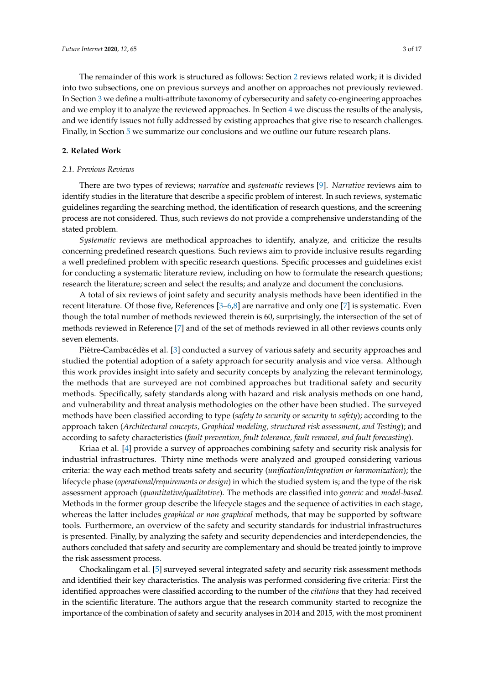The remainder of this work is structured as follows: Section [2](#page-2-0) reviews related work; it is divided into two subsections, one on previous surveys and another on approaches not previously reviewed. In Section [3](#page-5-0) we define a multi-attribute taxonomy of cybersecurity and safety co-engineering approaches and we employ it to analyze the reviewed approaches. In Section [4](#page-8-0) we discuss the results of the analysis, and we identify issues not fully addressed by existing approaches that give rise to research challenges. Finally, in Section [5](#page-11-0) we summarize our conclusions and we outline our future research plans.

# <span id="page-2-0"></span>**2. Related Work**

## <span id="page-2-1"></span>*2.1. Previous Reviews*

There are two types of reviews; *narrative* and *systematic* reviews [\[9\]](#page-12-8). *Narrative* reviews aim to identify studies in the literature that describe a specific problem of interest. In such reviews, systematic guidelines regarding the searching method, the identification of research questions, and the screening process are not considered. Thus, such reviews do not provide a comprehensive understanding of the stated problem.

*Systematic* reviews are methodical approaches to identify, analyze, and criticize the results concerning predefined research questions. Such reviews aim to provide inclusive results regarding a well predefined problem with specific research questions. Specific processes and guidelines exist for conducting a systematic literature review, including on how to formulate the research questions; research the literature; screen and select the results; and analyze and document the conclusions.

A total of six reviews of joint safety and security analysis methods have been identified in the recent literature. Of those five, References [\[3–](#page-12-2)[6,](#page-12-5)[8\]](#page-12-7) are narrative and only one [\[7\]](#page-12-6) is systematic. Even though the total number of methods reviewed therein is 60, surprisingly, the intersection of the set of methods reviewed in Reference [\[7\]](#page-12-6) and of the set of methods reviewed in all other reviews counts only seven elements.

Piètre-Cambacédès et al. [\[3\]](#page-12-2) conducted a survey of various safety and security approaches and studied the potential adoption of a safety approach for security analysis and vice versa. Although this work provides insight into safety and security concepts by analyzing the relevant terminology, the methods that are surveyed are not combined approaches but traditional safety and security methods. Specifically, safety standards along with hazard and risk analysis methods on one hand, and vulnerability and threat analysis methodologies on the other have been studied. The surveyed methods have been classified according to type (*safety to security* or *security to safety*); according to the approach taken (*Architectural concepts, Graphical modeling, structured risk assessment, and Testing*); and according to safety characteristics (*fault prevention, fault tolerance, fault removal, and fault forecasting*).

Kriaa et al. [\[4\]](#page-12-3) provide a survey of approaches combining safety and security risk analysis for industrial infrastructures. Thirty nine methods were analyzed and grouped considering various criteria: the way each method treats safety and security (*unification/integration or harmonization*); the lifecycle phase (*operational/requirements or design*) in which the studied system is; and the type of the risk assessment approach (*quantitative/qualitative*). The methods are classified into *generic* and *model-based*. Methods in the former group describe the lifecycle stages and the sequence of activities in each stage, whereas the latter includes *graphical or non-graphical* methods, that may be supported by software tools. Furthermore, an overview of the safety and security standards for industrial infrastructures is presented. Finally, by analyzing the safety and security dependencies and interdependencies, the authors concluded that safety and security are complementary and should be treated jointly to improve the risk assessment process.

Chockalingam et al. [\[5\]](#page-12-4) surveyed several integrated safety and security risk assessment methods and identified their key characteristics. The analysis was performed considering five criteria: First the identified approaches were classified according to the number of the *citations* that they had received in the scientific literature. The authors argue that the research community started to recognize the importance of the combination of safety and security analyses in 2014 and 2015, with the most prominent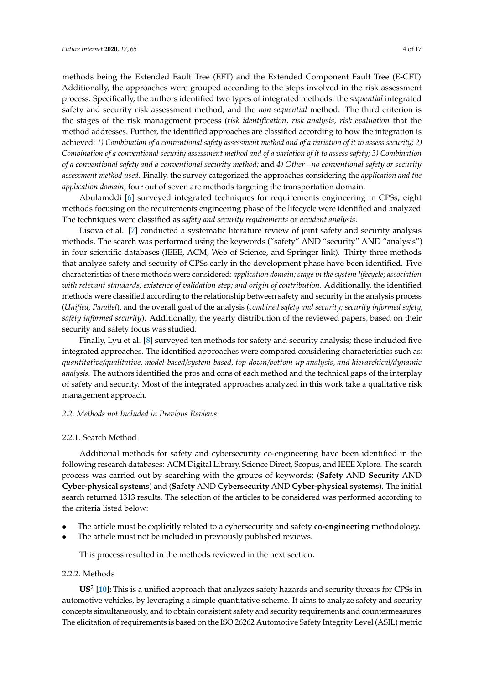methods being the Extended Fault Tree (EFT) and the Extended Component Fault Tree (E-CFT). Additionally, the approaches were grouped according to the steps involved in the risk assessment process. Specifically, the authors identified two types of integrated methods: the *sequential* integrated safety and security risk assessment method, and the *non-sequential* method. The third criterion is the stages of the risk management process (*risk identification, risk analysis, risk evaluation* that the method addresses. Further, the identified approaches are classified according to how the integration is achieved: *1) Combination of a conventional safety assessment method and of a variation of it to assess security; 2) Combination of a conventional security assessment method and of a variation of it to assess safety; 3) Combination of a conventional safety and a conventional security method;* and *4) Other - no conventional safety or security assessment method used*. Finally, the survey categorized the approaches considering the *application and the application domain*; four out of seven are methods targeting the transportation domain.

Abulamddi [\[6\]](#page-12-5) surveyed integrated techniques for requirements engineering in CPSs; eight methods focusing on the requirements engineering phase of the lifecycle were identified and analyzed. The techniques were classified as *safety and security requirements* or *accident analysis*.

Lisova et al. [\[7\]](#page-12-6) conducted a systematic literature review of joint safety and security analysis methods. The search was performed using the keywords ("safety" AND "security" AND "analysis") in four scientific databases (IEEE, ACM, Web of Science, and Springer link). Thirty three methods that analyze safety and security of CPSs early in the development phase have been identified. Five characteristics of these methods were considered: *application domain; stage in the system lifecycle; association with relevant standards; existence of validation step; and origin of contribution*. Additionally, the identified methods were classified according to the relationship between safety and security in the analysis process (*Unified, Parallel*), and the overall goal of the analysis (*combined safety and security; security informed safety, safety informed security*). Additionally, the yearly distribution of the reviewed papers, based on their security and safety focus was studied.

Finally, Lyu et al. [\[8\]](#page-12-7) surveyed ten methods for safety and security analysis; these included five integrated approaches. The identified approaches were compared considering characteristics such as: *quantitative/qualitative, model-based/system-based, top-down/bottom-up analysis, and hierarchical/dynamic analysis*. The authors identified the pros and cons of each method and the technical gaps of the interplay of safety and security. Most of the integrated approaches analyzed in this work take a qualitative risk management approach.

## *2.2. Methods not Included in Previous Reviews*

#### 2.2.1. Search Method

Additional methods for safety and cybersecurity co-engineering have been identified in the following research databases: ACM Digital Library, Science Direct, Scopus, and IEEE Xplore. The search process was carried out by searching with the groups of keywords; (**Safety** AND **Security** AND **Cyber-physical systems**) and (**Safety** AND **Cybersecurity** AND **Cyber-physical systems**). The initial search returned 1313 results. The selection of the articles to be considered was performed according to the criteria listed below:

- The article must be explicitly related to a cybersecurity and safety **co-engineering** methodology.
- The article must not be included in previously published reviews.

This process resulted in the methods reviewed in the next section.

# <span id="page-3-0"></span>2.2.2. Methods

**US**<sup>2</sup> **[\[10\]](#page-12-9):** This is a unified approach that analyzes safety hazards and security threats for CPSs in automotive vehicles, by leveraging a simple quantitative scheme. It aims to analyze safety and security concepts simultaneously, and to obtain consistent safety and security requirements and countermeasures. The elicitation of requirements is based on the ISO 26262 Automotive Safety Integrity Level (ASIL) metric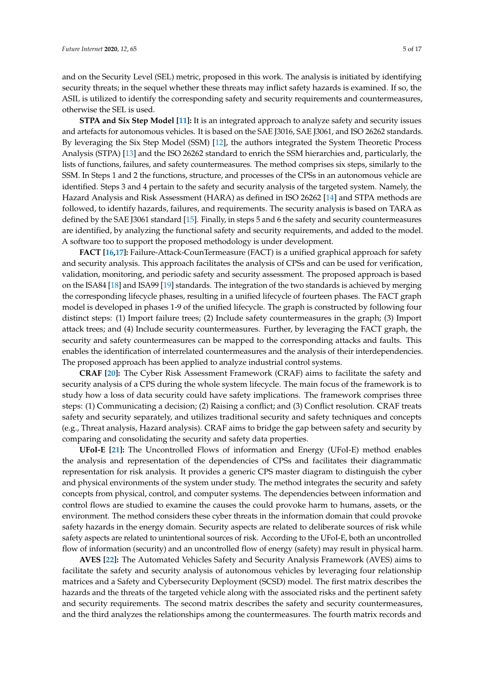and on the Security Level (SEL) metric, proposed in this work. The analysis is initiated by identifying security threats; in the sequel whether these threats may inflict safety hazards is examined. If so, the ASIL is utilized to identify the corresponding safety and security requirements and countermeasures, otherwise the SEL is used.

**STPA and Six Step Model [\[11\]](#page-12-10):** It is an integrated approach to analyze safety and security issues and artefacts for autonomous vehicles. It is based on the SAE J3016, SAE J3061, and ISO 26262 standards. By leveraging the Six Step Model (SSM) [\[12\]](#page-12-11), the authors integrated the System Theoretic Process Analysis (STPA) [\[13\]](#page-12-12) and the ISO 26262 standard to enrich the SSM hierarchies and, particularly, the lists of functions, failures, and safety countermeasures. The method comprises six steps, similarly to the SSM. In Steps 1 and 2 the functions, structure, and processes of the CPSs in an autonomous vehicle are identified. Steps 3 and 4 pertain to the safety and security analysis of the targeted system. Namely, the Hazard Analysis and Risk Assessment (HARA) as defined in ISO 26262 [\[14\]](#page-12-13) and STPA methods are followed, to identify hazards, failures, and requirements. The security analysis is based on TARA as defined by the SAE J3061 standard [\[15\]](#page-12-14). Finally, in steps 5 and 6 the safety and security countermeasures are identified, by analyzing the functional safety and security requirements, and added to the model. A software too to support the proposed methodology is under development.

**FACT [\[16,](#page-12-15)[17\]](#page-12-16):** Failure-Attack-CounTermeasure (FACT) is a unified graphical approach for safety and security analysis. This approach facilitates the analysis of CPSs and can be used for verification, validation, monitoring, and periodic safety and security assessment. The proposed approach is based on the ISA84 [\[18\]](#page-12-17) and ISA99 [\[19\]](#page-12-18) standards. The integration of the two standards is achieved by merging the corresponding lifecycle phases, resulting in a unified lifecycle of fourteen phases. The FACT graph model is developed in phases 1-9 of the unified lifecycle. The graph is constructed by following four distinct steps: (1) Import failure trees; (2) Include safety countermeasures in the graph; (3) Import attack trees; and (4) Include security countermeasures. Further, by leveraging the FACT graph, the security and safety countermeasures can be mapped to the corresponding attacks and faults. This enables the identification of interrelated countermeasures and the analysis of their interdependencies. The proposed approach has been applied to analyze industrial control systems.

**CRAF [\[20\]](#page-12-19):** The Cyber Risk Assessment Framework (CRAF) aims to facilitate the safety and security analysis of a CPS during the whole system lifecycle. The main focus of the framework is to study how a loss of data security could have safety implications. The framework comprises three steps: (1) Communicating a decision; (2) Raising a conflict; and (3) Conflict resolution. CRAF treats safety and security separately, and utilizes traditional security and safety techniques and concepts (e.g., Threat analysis, Hazard analysis). CRAF aims to bridge the gap between safety and security by comparing and consolidating the security and safety data properties.

**UFoI-E [\[21\]](#page-13-0):** The Uncontrolled Flows of information and Energy (UFoI-E) method enables the analysis and representation of the dependencies of CPSs and facilitates their diagrammatic representation for risk analysis. It provides a generic CPS master diagram to distinguish the cyber and physical environments of the system under study. The method integrates the security and safety concepts from physical, control, and computer systems. The dependencies between information and control flows are studied to examine the causes the could provoke harm to humans, assets, or the environment. The method considers these cyber threats in the information domain that could provoke safety hazards in the energy domain. Security aspects are related to deliberate sources of risk while safety aspects are related to unintentional sources of risk. According to the UFoI-E, both an uncontrolled flow of information (security) and an uncontrolled flow of energy (safety) may result in physical harm.

**AVES [\[22\]](#page-13-1):** The Automated Vehicles Safety and Security Analysis Framework (AVES) aims to facilitate the safety and security analysis of autonomous vehicles by leveraging four relationship matrices and a Safety and Cybersecurity Deployment (SCSD) model. The first matrix describes the hazards and the threats of the targeted vehicle along with the associated risks and the pertinent safety and security requirements. The second matrix describes the safety and security countermeasures, and the third analyzes the relationships among the countermeasures. The fourth matrix records and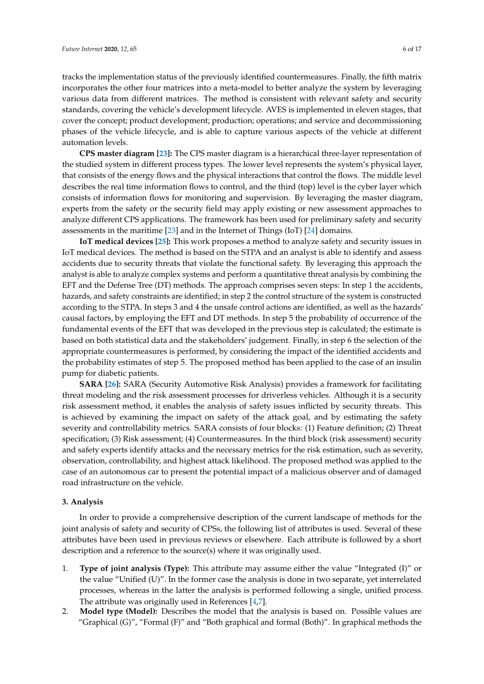tracks the implementation status of the previously identified countermeasures. Finally, the fifth matrix incorporates the other four matrices into a meta-model to better analyze the system by leveraging various data from different matrices. The method is consistent with relevant safety and security standards, covering the vehicle's development lifecycle. AVES is implemented in eleven stages, that cover the concept; product development; production; operations; and service and decommissioning phases of the vehicle lifecycle, and is able to capture various aspects of the vehicle at different automation levels.

**CPS master diagram [\[23\]](#page-13-2):** The CPS master diagram is a hierarchical three-layer representation of the studied system in different process types. The lower level represents the system's physical layer, that consists of the energy flows and the physical interactions that control the flows. The middle level describes the real time information flows to control, and the third (top) level is the cyber layer which consists of information flows for monitoring and supervision. By leveraging the master diagram, experts from the safety or the security field may apply existing or new assessment approaches to analyze different CPS applications. The framework has been used for preliminary safety and security assessments in the maritime [\[23\]](#page-13-2) and in the Internet of Things (IoT) [\[24\]](#page-13-3) domains.

**IoT medical devices [\[25\]](#page-13-4):** This work proposes a method to analyze safety and security issues in IoT medical devices. The method is based on the STPA and an analyst is able to identify and assess accidents due to security threats that violate the functional safety. By leveraging this approach the analyst is able to analyze complex systems and perform a quantitative threat analysis by combining the EFT and the Defense Tree (DT) methods. The approach comprises seven steps: In step 1 the accidents, hazards, and safety constraints are identified; in step 2 the control structure of the system is constructed according to the STPA. In steps 3 and 4 the unsafe control actions are identified, as well as the hazards' causal factors, by employing the EFT and DT methods. In step 5 the probability of occurrence of the fundamental events of the EFT that was developed in the previous step is calculated; the estimate is based on both statistical data and the stakeholders' judgement. Finally, in step 6 the selection of the appropriate countermeasures is performed, by considering the impact of the identified accidents and the probability estimates of step 5. The proposed method has been applied to the case of an insulin pump for diabetic patients.

**SARA [\[26\]](#page-13-5):** SARA (Security Automotive Risk Analysis) provides a framework for facilitating threat modeling and the risk assessment processes for driverless vehicles. Although it is a security risk assessment method, it enables the analysis of safety issues inflicted by security threats. This is achieved by examining the impact on safety of the attack goal, and by estimating the safety severity and controllability metrics. SARA consists of four blocks: (1) Feature definition; (2) Threat specification; (3) Risk assessment; (4) Countermeasures. In the third block (risk assessment) security and safety experts identify attacks and the necessary metrics for the risk estimation, such as severity, observation, controllability, and highest attack likelihood. The proposed method was applied to the case of an autonomous car to present the potential impact of a malicious observer and of damaged road infrastructure on the vehicle.

# <span id="page-5-0"></span>**3. Analysis**

In order to provide a comprehensive description of the current landscape of methods for the joint analysis of safety and security of CPSs, the following list of attributes is used. Several of these attributes have been used in previous reviews or elsewhere. Each attribute is followed by a short description and a reference to the source(s) where it was originally used.

- 1. **Type of joint analysis (Type):** This attribute may assume either the value "Integrated (I)" or the value "Unified (U)". In the former case the analysis is done in two separate, yet interrelated processes, whereas in the latter the analysis is performed following a single, unified process. The attribute was originally used in References [\[4,](#page-12-3)[7\]](#page-12-6).
- 2. **Model type (Model):** Describes the model that the analysis is based on. Possible values are "Graphical (G)", "Formal (F)" and "Both graphical and formal (Both)". In graphical methods the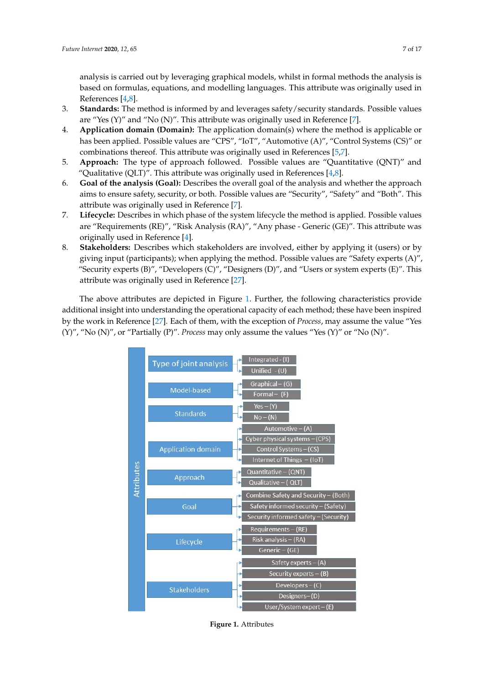analysis is carried out by leveraging graphical models, whilst in formal methods the analysis is based on formulas, equations, and modelling languages. This attribute was originally used in References [\[4,](#page-12-3)[8\]](#page-12-7).

- 3. **Standards:** The method is informed by and leverages safety/security standards. Possible values are "Yes  $(Y)$ " and "No  $(N)$ ". This attribute was originally used in Reference [\[7\]](#page-12-6).
- 4. **Application domain (Domain):** The application domain(s) where the method is applicable or has been applied. Possible values are "CPS", "IoT", "Automotive (A)", "Control Systems (CS)" or combinations thereof. This attribute was originally used in References [\[5,](#page-12-4)[7\]](#page-12-6).
- 5. **Approach:** The type of approach followed. Possible values are "Quantitative (QNT)" and "Qualitative (QLT)". This attribute was originally used in References [\[4](#page-12-3)[,8\]](#page-12-7).
- 6. **Goal of the analysis (Goal):** Describes the overall goal of the analysis and whether the approach aims to ensure safety, security, or both. Possible values are "Security", "Safety" and "Both". This attribute was originally used in Reference [\[7\]](#page-12-6).
- 7. **Lifecycle:** Describes in which phase of the system lifecycle the method is applied. Possible values are "Requirements (RE)", "Risk Analysis (RA)", "Any phase - Generic (GE)". This attribute was originally used in Reference [\[4\]](#page-12-3).
- 8. **Stakeholders:** Describes which stakeholders are involved, either by applying it (users) or by giving input (participants); when applying the method. Possible values are "Safety experts (A)", "Security experts  $(B)''$ , "Developers  $(C)''$ , "Designers  $(D)''$ , and "Users or system experts  $(E)''$ . This attribute was originally used in Reference [\[27\]](#page-13-6).

<span id="page-6-0"></span>The above attributes are depicted in Figure [1.](#page-6-0) Further, the following characteristics provide additional insight into understanding the operational capacity of each method; these have been inspired by the work in Reference [\[27\]](#page-13-6). Each of them, with the exception of *Process*, may assume the value "Yes (Y)", "No (N)", or "Partially (P)". *Process* may only assume the values "Yes (Y)" or "No (N)".



**Figure 1.** Attributes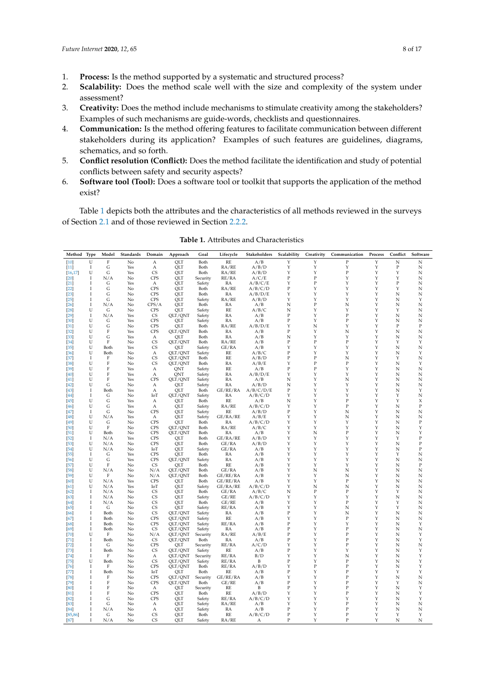- 1. **Process:** Is the method supported by a systematic and structured process?
- 2. **Scalability:** Does the method scale well with the size and complexity of the system under assessment?
- 3. **Creativity:** Does the method include mechanisms to stimulate creativity among the stakeholders? Examples of such mechanisms are guide-words, checklists and questionnaires.
- 4. **Communication:** Is the method offering features to facilitate communication between different stakeholders during its application? Examples of such features are guidelines, diagrams, schematics, and so forth.
- 5. **Conflict resolution (Conflict):** Does the method facilitate the identification and study of potential conflicts between safety and security aspects?
- 6. **Software tool (Tool):** Does a software tool or toolkit that supports the application of the method exist?

Table [1](#page-7-0) depicts both the attributes and the characteristics of all methods reviewed in the surveys of Section [2.1](#page-2-1) and of those reviewed in Section [2.2.2.](#page-3-0)

<span id="page-7-0"></span>

| Method Type      |                            | Model        | Standards | Domain                  | Approach           | Goal             | Lifecycle      | Stakeholders     | Scalability      | Creativity   | Communication     | Process | Conflict   | Software                 |
|------------------|----------------------------|--------------|-----------|-------------------------|--------------------|------------------|----------------|------------------|------------------|--------------|-------------------|---------|------------|--------------------------|
| [10]             | U                          | $\mathbf F$  | No        | A                       | OLT                | Both             | RE             | A/B              | Y                | Y            | $\mathbf{P}$      | Y       | N          | N                        |
| $[11]$           | $\mathbf I$                | G            | Yes       | A                       | QLT                | Both             | RA/RE          | A/B/D            | Y                | Y            | Υ                 | Υ       | $\rm P$    | N                        |
| [16, 17]         | U                          | G            | Yes       | <b>CS</b>               | OLT                | Both             | RA/RE          | A/B/D            | Y                | Y            | P                 | Y       | Y          | N                        |
| $[20]$           | <b>I</b>                   | N/A          | No        | <b>CPS</b>              | QLT                | Security         | RE/RA          | A/C/E            | $\mathbf P$      | $\mathbf{P}$ | Υ                 | Y       | Υ          | N                        |
| $[21]$           | <b>I</b>                   | G            | Yes       | A                       | QLT                | Safety           | RA             | A/B/C/E          | Y                | $\mathbf P$  | Υ                 | Y       | $\rm P$    | N                        |
| [22]             | I<br>$\mathbf I$           | G            | No        | <b>CPS</b><br>CPS       | OLT                | Both             | RA/RE          | A/B/C/D          | P<br>Y           | Υ<br>Y       | Υ<br>Y            | Υ<br>Y  | Υ<br>N     | N<br>N                   |
| $[23]$<br>$[25]$ | $\mathbf I$                | G<br>G       | No<br>No  | <b>CPS</b>              | QLT<br>QLT         | Both<br>Safety   | RA<br>RA/RE    | A/B/D/E<br>A/B/D | Y                | Y            | Υ                 | Y       | N          | Υ                        |
| $[26]$           | <b>I</b>                   | N/A          | No        | CPS/A                   | QLT                | Both             | RA             | A/B              | N                | $\mathbf P$  | N                 | Y       | N          | N                        |
| [28]             | U                          | G            | No        | <b>CPS</b>              | OLT                | Safety           | RE             | A/B/C            | N                | Y            | Y                 | Y       | Y          | N                        |
| $[29]$           | I                          | N/A          | Yes       | <b>CS</b>               | QLT/QNT            | Safety           | RA             | A/B              | P                | Y            | P                 | Υ       | N          | N                        |
| $[30]$           | U                          | G            | Yes       | CPS                     | QLT                | Safety           | RA             | A/B              | $\mathbf{P}$     | Y            | $\mathbf{P}$      | Υ       | N          | N                        |
| $[31]$           | U                          | G            | No        | <b>CPS</b>              | QLT                | Both             | RA/RE          | A/B/D/E          | Υ                | N            | Υ                 | Υ       | P          | $\mathbf P$              |
| $[32]$           | U                          | F            | Yes       | CPS                     | QLT/QNT            | Both             | RA             | A/B              | $\mathbf P$      | Y            | N                 | Y       | $_{\rm N}$ | N                        |
| $[33]$           | U                          | G            | Yes       | $\mathbf{A}$            | <b>OLT</b>         | Both             | RA             | A/B              | N                | Y            | Y                 | Y       | N          | N                        |
| $[34]$           | U                          | F            | No        | CS                      | QLT/QNT            | Both             | RA/RE          | A/B              | $\mathbf{P}$     | $\mathbf{P}$ | ${\bf P}$         | Y       | Y          | Υ                        |
| $[35]$           | U<br>U                     | Both<br>Both | Yes       | <b>CS</b>               | QLT<br>OLT/ONT     | Safety<br>Safety | GE/RA<br>RE    | A/B<br>A/B/C     | Y<br>P           | Y<br>Υ       | Υ<br>Υ            | Y<br>Υ  | N          | N<br>Υ                   |
| [36]<br>$[37]$   | I                          | F            | No<br>No  | А<br><b>CS</b>          | OLT/ONT            | Both             | <b>RE</b>      | A/B/D            | $\mathbf P$      | $\mathbf{P}$ | N                 | Y       | N<br>Y     | N                        |
| $[38]$           | U                          | F            | No        | <b>CS</b>               | QLT/QNT            | Both             | RA             | A/B/E            | Υ                | $\mathbf{P}$ | $\mathbf P$       | Y       | N          | Y                        |
| $[39]$           | U                          | F            | Yes       | A                       | QNT                | Safety           | RE             | A/B              | $\mathbf P$      | $\mathbf{P}$ | Υ                 | Υ       | N          | N                        |
| [40]             | U                          | F            | Yes       | A                       | ONT                | Safety           | RA             | A/B/D/E          | Υ                | Υ            | Υ                 | Υ       | N          | N                        |
| [41]             | U                          | F            | Yes       | CPS                     | QLT/QNT            | Safety           | RA             | A/B              | N                | Y            | N                 | Y       | N          | N                        |
| $[42]$           | U                          | G            | No        | А                       | OLT                | Safety           | RA             | A/B/D            | N                | Y            | Y                 | Y       | N          | N                        |
| $[43]$           | -1                         | Both         | Yes       | А                       | QLT                | Both             | GE/RE/RA       | A/B/C/D/E        | $\, {\bf P}$     | Y            | Υ                 | Y       | N          | Υ                        |
| [44]             | $\mathbf I$                | G            | No        | IoT                     | OLT/ONT            | Safety           | RA             | A/B/C/D          | Y                | Y            | Υ                 | Y       | Y          | N                        |
| $[45]$           | U<br>U                     | G            | Yes       | $\mathbf{A}$            | OLT                | Both             | RE             | A/B              | N<br>Y           | Y<br>Y       | P<br>$\mathbf P$  | Υ<br>Y  | Y<br>N     | X<br>$\mathbf P$         |
| $[46]$<br>$[47]$ | -1                         | G<br>G       | Yes<br>No | A<br><b>CPS</b>         | QLT<br>OLT         | Safety<br>Safety | RA/RE<br>RE    | A/B/C/D<br>A/B/D | $\mathbf P$      | Y            | N                 | Y       | N          | N                        |
| $[48]$           | U                          | N/A          | Yes       | A                       | QLT                | Safety           | GE/RA/RE       | A/B/E            | Y                | Y            | N                 | Y       | N          | N                        |
| [49]             | U                          | G            | No        | <b>CPS</b>              | <b>OLT</b>         | Both             | RA             | A/B/C/D          | Y                | Y            | Y                 | Y       | N          | $\mathbf P$              |
| [50]             | U                          | F            | No        | CPS                     | QLT/QNT            | Both             | RA/RE          | A/B/C            | Y                | Y            | Y                 | Y       | N          | Υ                        |
| [51]             | U                          | Both         | No        | CPS                     | QLT/QNT            | Both             | RA             | A/B              | Y                | N            | $\, {\bf P}$      | Y       | N          | Y                        |
| $[52]$           | Ι.                         | N/A          | Yes       | CPS                     | QLT                | Both             | GE/RA/RE       | A/B/D            | Υ                | Υ            | Υ                 | Υ       | Υ          | $\mathbf P$              |
| $[53]$           | U                          | N/A          | No        | CPS                     | QLT                | Both             | GE/RA          | A/B/D            | Y                | Y            | Υ                 | Y       | N          | P                        |
| $[54]$           | U                          | N/A          | No        | IoT                     | QLT                | Safety           | GE/RA          | A/B              | Y                | Y            | Υ                 | Y       | N          | P                        |
| $[55]$           | <b>I</b>                   | G            | Yes       | CPS                     | QLT                | Both             | RA             | A/B              | Y                | Y            | Υ                 | Υ       | Y          | N                        |
| [56]<br>$[57]$   | U<br>U                     | G<br>F       | Yes<br>No | <b>CPS</b><br><b>CS</b> | OLT/ONT<br>QLT     | Safety<br>Both   | RA<br>RE       | A/B<br>A/B       | Y<br>Y           | Y<br>Y       | Υ<br>Υ            | Υ<br>Y  | N<br>N     | N<br>$\mathbf P$         |
| $[58]$           | U                          | N/A          | No        | N/A                     | QLT/QNT            | Both             | GE/RA          | A/B              | Y                | N            | N                 | Y       | N          | N                        |
| $[59]$           | U                          | F            | No        | N/A                     | QLT/QNT            | Both             | GE/RE/RA       | A/B              | Υ                | Υ            | N                 | Υ       | N          | N                        |
| [60]             | U                          | N/A          | Yes       | <b>CPS</b>              | QLT                | Both             | GE/RE/RA       | A/B              | Y                | Y            | $\mathbf P$       | Y       | N          | N                        |
| [61]             | U                          | N/A          | Yes       | IoT                     | OLT                | Safety           | GE/RA/RE       | A/B/C/D          | Υ                | N            | N                 | Υ       | N          | N                        |
| [62]             | $\mathbf I$                | N/A          | No        | <b>CS</b>               | QLT                | Both             | GE/RA          | A/B/C            | N                | $\mathbf{P}$ | $\mathbf P$       | Y       | Y          | N                        |
| [63]             | <b>I</b>                   | N/A          | No        | <b>CS</b>               | QLT                | Safety           | GE/RE          | A/B/C/D          | Y                | Y            | Y                 | Y       | N          | N                        |
| [64]             | <b>I</b>                   | N/A          | No        | <b>CS</b>               | QLT                | Both             | GE/RE          | A/B              | Y                | Y            | ${\bf P}$         | Y       | Y          | N                        |
| [65]             | Ι                          | G            | No        | <b>CS</b>               | OLT                | Safety           | RE/RA          | A/B              | Y                | Y            | N                 | Y       | Υ          | N                        |
| [66]<br>[67]     | $\mathbf I$<br>$\mathbf I$ | Both<br>Both | No        | <b>CS</b><br>CPS        | QLT/QNT<br>OLT/ONT | Safety<br>Safety | RA<br>RE       | A/B<br>A/B       | $\mathbf P$<br>Y | Y<br>Y       | N<br>$\mathbf{P}$ | Y<br>Y  | N<br>N     | $_{\rm N}$<br>$_{\rm N}$ |
| [68]             | Ι.                         | Both         | No<br>No  | <b>CPS</b>              | QLT/QNT            | Safety           | RE/RA          | A/B              | P                | Y            | Υ                 | Υ       | N          | Υ                        |
| [69]             | $\mathbf I$                | Both         | No        | <b>CS</b>               | QLT/QNT            | Safety           | RA             | A/B              | $\mathbf P$      | Y            | $\, {\bf P}$      | Y       | N          | $_{\rm N}$               |
| $[70]$           | U                          | F            | No        | N/A                     | QLT/QNT            | Security         | RA/RE          | A/B/E            | $\mathbf P$      | Y            | $\mathbf P$       | Υ       | N          | Y                        |
| $[71]$           | $\mathbf I$                | Both         | No        | <b>CS</b>               | QLT/QNT            | Both             | RA             | A/B              | $\mathbf{P}$     | Y            | $\overline{P}$    | Υ       | N          | Y                        |
| $[72]$           | $\mathbf I$                | G            | No        | <b>CPS</b>              | QLT                | Security         | RE/RA          | A/C/D            | Y                | Y            | $\mathbf{P}$      | Y       | N          | N                        |
| $[73]$           | $\mathbf I$                | Both         | No        | <b>CS</b>               | OLT/ONT            | Safety           | RE             | A/B              | $\mathbf P$      | Y            | Υ                 | Y       | N          | Υ                        |
| $[74]$           | I                          | F            | No        | $\mathbf{A}$            | OLT/ONT            | Security         | RE/RA          | B/D              | Y                | Y            | N                 | Y       | N          | Y                        |
| $[75]$           | U                          | Both         | No        | <b>CS</b>               | QLT/QNT            | Safety           | RE/RA          | B                | $\mathbf{P}$     | Y            | $\mathbf P$       | Υ       | N          | Υ                        |
| $[76]$           | <b>I</b>                   | F            | No        | CPS                     | QLT/QNT            | Both             | RE/RA          | A/B/D            | Y                | $\mathbf P$  | $\, {\bf P}$      | Υ       | N          | Υ                        |
| [77]<br>$[78]$   | 1<br>$\mathbf I$           | Both<br>F    | No<br>No  | IoT<br>CPS              | OLT<br>QLT/QNT     | Both<br>Security | RE<br>GE/RE/RA | A/B<br>A/B       | P<br>Y           | Υ<br>Y       | P<br>$\mathbf P$  | Υ<br>Y  | Y<br>N     | Υ<br>N                   |
| $[79]$           | $\mathbf I$                | F            | No        | CPS                     | QLT/QNT            | Both             | GE/RE          | A/B              | P                | Y            | P                 | Y       | Y          | N                        |
| [80]             | I                          | F            | No        | A                       | QLT                | Security         | RE             | B                | $\mathbf P$      | Y            | ${\bf P}$         | Y       | N          | Υ                        |
| [81]             | $\mathbf I$                | F            | No        | <b>CPS</b>              | OLT                | Both             | RE             | A/B/D            | Y                | Y            | $\mathbf{P}$      | Y       | N          | Υ                        |
| $[82]$           | $\mathbf I$                | G            | No        | <b>CPS</b>              | QLT                | Safety           | RE/RA          | A/B/C/D          | Y                | Y            | Υ                 | Y       | N          | Y                        |
| $[83]$           | $\mathbf I$                | G            | No        | А                       | QLT                | Safety           | RA/RE          | A/B              | Y                | Y            | P                 | Y       | N          | N                        |
| [84]             | <b>I</b>                   | N/A          | No        | А                       | QLT                | Safety           | RA             | A/B              | $\, {\bf P}$     | Υ            | $\, {\bf P}$      | Υ       | N          | N                        |
| [85, 86]         | <b>I</b>                   | G            | No        | CS                      | QLT                | Both             | RE             | A/B/C/D          | $\, {\bf P}$     | Υ            | $\, {\bf P}$      | Y       | Y          | Υ                        |
| [87]             | I                          | N/A          | No        | <b>CS</b>               | <b>OLT</b>         | Safety           | RA/RE          | $\mathsf{A}$     | $\mathbf P$      | Y            | $\mathbf{P}$      | Y       | N          | N                        |

**Table 1.** Attributes and Characteristics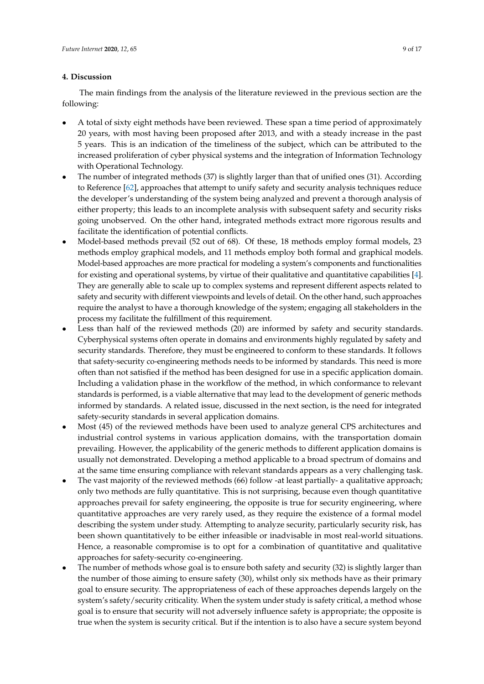# <span id="page-8-0"></span>**4. Discussion**

The main findings from the analysis of the literature reviewed in the previous section are the following:

- A total of sixty eight methods have been reviewed. These span a time period of approximately 20 years, with most having been proposed after 2013, and with a steady increase in the past 5 years. This is an indication of the timeliness of the subject, which can be attributed to the increased proliferation of cyber physical systems and the integration of Information Technology with Operational Technology.
- The number of integrated methods (37) is slightly larger than that of unified ones (31). According to Reference [\[62\]](#page-15-5), approaches that attempt to unify safety and security analysis techniques reduce the developer's understanding of the system being analyzed and prevent a thorough analysis of either property; this leads to an incomplete analysis with subsequent safety and security risks going unobserved. On the other hand, integrated methods extract more rigorous results and facilitate the identification of potential conflicts.
- Model-based methods prevail (52 out of 68). Of these, 18 methods employ formal models, 23 methods employ graphical models, and 11 methods employ both formal and graphical models. Model-based approaches are more practical for modeling a system's components and functionalities for existing and operational systems, by virtue of their qualitative and quantitative capabilities [\[4\]](#page-12-3). They are generally able to scale up to complex systems and represent different aspects related to safety and security with different viewpoints and levels of detail. On the other hand, such approaches require the analyst to have a thorough knowledge of the system; engaging all stakeholders in the process my facilitate the fulfillment of this requirement.
- Less than half of the reviewed methods (20) are informed by safety and security standards. Cyberphysical systems often operate in domains and environments highly regulated by safety and security standards. Therefore, they must be engineered to conform to these standards. It follows that safety-security co-engineering methods needs to be informed by standards. This need is more often than not satisfied if the method has been designed for use in a specific application domain. Including a validation phase in the workflow of the method, in which conformance to relevant standards is performed, is a viable alternative that may lead to the development of generic methods informed by standards. A related issue, discussed in the next section, is the need for integrated safety-security standards in several application domains.
- Most (45) of the reviewed methods have been used to analyze general CPS architectures and industrial control systems in various application domains, with the transportation domain prevailing. However, the applicability of the generic methods to different application domains is usually not demonstrated. Developing a method applicable to a broad spectrum of domains and at the same time ensuring compliance with relevant standards appears as a very challenging task.
- The vast majority of the reviewed methods (66) follow -at least partially- a qualitative approach; only two methods are fully quantitative. This is not surprising, because even though quantitative approaches prevail for safety engineering, the opposite is true for security engineering, where quantitative approaches are very rarely used, as they require the existence of a formal model describing the system under study. Attempting to analyze security, particularly security risk, has been shown quantitatively to be either infeasible or inadvisable in most real-world situations. Hence, a reasonable compromise is to opt for a combination of quantitative and qualitative approaches for safety-security co-engineering.
- The number of methods whose goal is to ensure both safety and security (32) is slightly larger than the number of those aiming to ensure safety (30), whilst only six methods have as their primary goal to ensure security. The appropriateness of each of these approaches depends largely on the system's safety/security criticality. When the system under study is safety critical, a method whose goal is to ensure that security will not adversely influence safety is appropriate; the opposite is true when the system is security critical. But if the intention is to also have a secure system beyond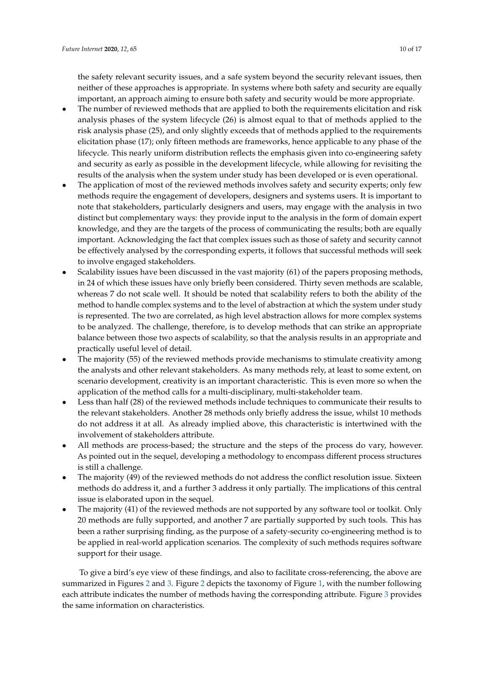the safety relevant security issues, and a safe system beyond the security relevant issues, then neither of these approaches is appropriate. In systems where both safety and security are equally important, an approach aiming to ensure both safety and security would be more appropriate.

- The number of reviewed methods that are applied to both the requirements elicitation and risk analysis phases of the system lifecycle (26) is almost equal to that of methods applied to the risk analysis phase (25), and only slightly exceeds that of methods applied to the requirements elicitation phase (17); only fifteen methods are frameworks, hence applicable to any phase of the lifecycle. This nearly uniform distribution reflects the emphasis given into co-engineering safety and security as early as possible in the development lifecycle, while allowing for revisiting the results of the analysis when the system under study has been developed or is even operational.
- The application of most of the reviewed methods involves safety and security experts; only few methods require the engagement of developers, designers and systems users. It is important to note that stakeholders, particularly designers and users, may engage with the analysis in two distinct but complementary ways: they provide input to the analysis in the form of domain expert knowledge, and they are the targets of the process of communicating the results; both are equally important. Acknowledging the fact that complex issues such as those of safety and security cannot be effectively analysed by the corresponding experts, it follows that successful methods will seek to involve engaged stakeholders.
- Scalability issues have been discussed in the vast majority (61) of the papers proposing methods, in 24 of which these issues have only briefly been considered. Thirty seven methods are scalable, whereas 7 do not scale well. It should be noted that scalability refers to both the ability of the method to handle complex systems and to the level of abstraction at which the system under study is represented. The two are correlated, as high level abstraction allows for more complex systems to be analyzed. The challenge, therefore, is to develop methods that can strike an appropriate balance between those two aspects of scalability, so that the analysis results in an appropriate and practically useful level of detail.
- The majority (55) of the reviewed methods provide mechanisms to stimulate creativity among the analysts and other relevant stakeholders. As many methods rely, at least to some extent, on scenario development, creativity is an important characteristic. This is even more so when the application of the method calls for a multi-disciplinary, multi-stakeholder team.
- Less than half (28) of the reviewed methods include techniques to communicate their results to the relevant stakeholders. Another 28 methods only briefly address the issue, whilst 10 methods do not address it at all. As already implied above, this characteristic is intertwined with the involvement of stakeholders attribute.
- All methods are process-based; the structure and the steps of the process do vary, however. As pointed out in the sequel, developing a methodology to encompass different process structures is still a challenge.
- The majority (49) of the reviewed methods do not address the conflict resolution issue. Sixteen methods do address it, and a further 3 address it only partially. The implications of this central issue is elaborated upon in the sequel.
- The majority (41) of the reviewed methods are not supported by any software tool or toolkit. Only 20 methods are fully supported, and another 7 are partially supported by such tools. This has been a rather surprising finding, as the purpose of a safety-security co-engineering method is to be applied in real-world application scenarios. The complexity of such methods requires software support for their usage.

To give a bird's eye view of these findings, and also to facilitate cross-referencing, the above are summarized in Figures [2](#page-10-0) and [3.](#page-10-1) Figure [2](#page-10-0) depicts the taxonomy of Figure [1,](#page-6-0) with the number following each attribute indicates the number of methods having the corresponding attribute. Figure [3](#page-10-1) provides the same information on characteristics.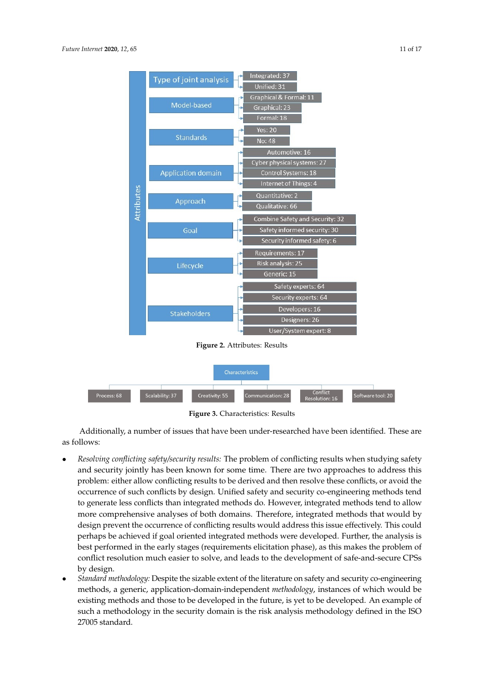<span id="page-10-0"></span>

**Figure 2.** Attributes: Results

<span id="page-10-1"></span>

|             |                 |                | Characteristics   |                            |                   |
|-------------|-----------------|----------------|-------------------|----------------------------|-------------------|
| Process: 68 | Scalability: 37 | Creativity: 55 | Communication: 28 | Conflict<br>Resolution: 16 | Software tool: 20 |

**Figure 3.** Characteristics: Results

Additionally, a number of issues that have been under-researched have been identified. These are as follows:

- *Resolving conflicting safety/security results:* The problem of conflicting results when studying safety and security jointly has been known for some time. There are two approaches to address this problem: either allow conflicting results to be derived and then resolve these conflicts, or avoid the occurrence of such conflicts by design. Unified safety and security co-engineering methods tend to generate less conflicts than integrated methods do. However, integrated methods tend to allow more comprehensive analyses of both domains. Therefore, integrated methods that would by design prevent the occurrence of conflicting results would address this issue effectively. This could perhaps be achieved if goal oriented integrated methods were developed. Further, the analysis is best performed in the early stages (requirements elicitation phase), as this makes the problem of conflict resolution much easier to solve, and leads to the development of safe-and-secure CPSs by design.
- *Standard methodology:* Despite the sizable extent of the literature on safety and security co-engineering methods, a generic, application-domain-independent *methodology*, instances of which would be existing methods and those to be developed in the future, is yet to be developed. An example of such a methodology in the security domain is the risk analysis methodology defined in the ISO 27005 standard.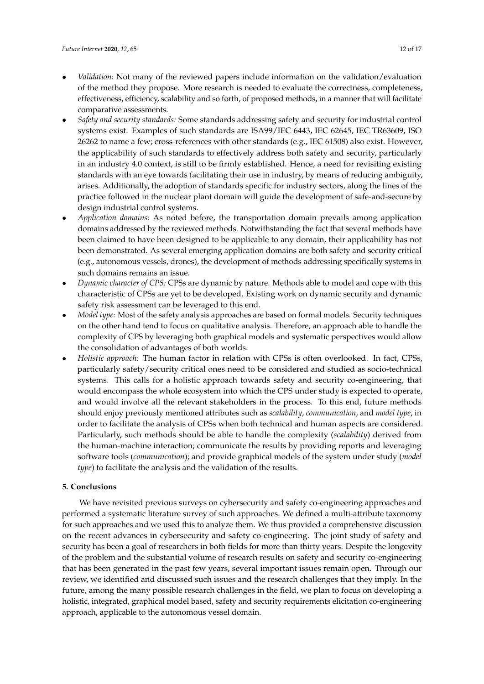- *Validation:* Not many of the reviewed papers include information on the validation/evaluation of the method they propose. More research is needed to evaluate the correctness, completeness, effectiveness, efficiency, scalability and so forth, of proposed methods, in a manner that will facilitate comparative assessments.
- *Safety and security standards:* Some standards addressing safety and security for industrial control systems exist. Examples of such standards are ISA99/IEC 6443, IEC 62645, IEC TR63609, ISO 26262 to name a few; cross-references with other standards (e.g., IEC 61508) also exist. However, the applicability of such standards to effectively address both safety and security, particularly in an industry 4.0 context, is still to be firmly established. Hence, a need for revisiting existing standards with an eye towards facilitating their use in industry, by means of reducing ambiguity, arises. Additionally, the adoption of standards specific for industry sectors, along the lines of the practice followed in the nuclear plant domain will guide the development of safe-and-secure by design industrial control systems.
- *Application domains:* As noted before, the transportation domain prevails among application domains addressed by the reviewed methods. Notwithstanding the fact that several methods have been claimed to have been designed to be applicable to any domain, their applicability has not been demonstrated. As several emerging application domains are both safety and security critical (e.g., autonomous vessels, drones), the development of methods addressing specifically systems in such domains remains an issue.
- *Dynamic character of CPS:* CPSs are dynamic by nature. Methods able to model and cope with this characteristic of CPSs are yet to be developed. Existing work on dynamic security and dynamic safety risk assessment can be leveraged to this end.
- *Model type:* Most of the safety analysis approaches are based on formal models. Security techniques on the other hand tend to focus on qualitative analysis. Therefore, an approach able to handle the complexity of CPS by leveraging both graphical models and systematic perspectives would allow the consolidation of advantages of both worlds.
- *Holistic approach:* The human factor in relation with CPSs is often overlooked. In fact, CPSs, particularly safety/security critical ones need to be considered and studied as socio-technical systems. This calls for a holistic approach towards safety and security co-engineering, that would encompass the whole ecosystem into which the CPS under study is expected to operate, and would involve all the relevant stakeholders in the process. To this end, future methods should enjoy previously mentioned attributes such as *scalability*, *communication*, and *model type*, in order to facilitate the analysis of CPSs when both technical and human aspects are considered. Particularly, such methods should be able to handle the complexity (*scalability*) derived from the human-machine interaction; communicate the results by providing reports and leveraging software tools (*communication*); and provide graphical models of the system under study (*model type*) to facilitate the analysis and the validation of the results.

# <span id="page-11-0"></span>**5. Conclusions**

We have revisited previous surveys on cybersecurity and safety co-engineering approaches and performed a systematic literature survey of such approaches. We defined a multi-attribute taxonomy for such approaches and we used this to analyze them. We thus provided a comprehensive discussion on the recent advances in cybersecurity and safety co-engineering. The joint study of safety and security has been a goal of researchers in both fields for more than thirty years. Despite the longevity of the problem and the substantial volume of research results on safety and security co-engineering that has been generated in the past few years, several important issues remain open. Through our review, we identified and discussed such issues and the research challenges that they imply. In the future, among the many possible research challenges in the field, we plan to focus on developing a holistic, integrated, graphical model based, safety and security requirements elicitation co-engineering approach, applicable to the autonomous vessel domain.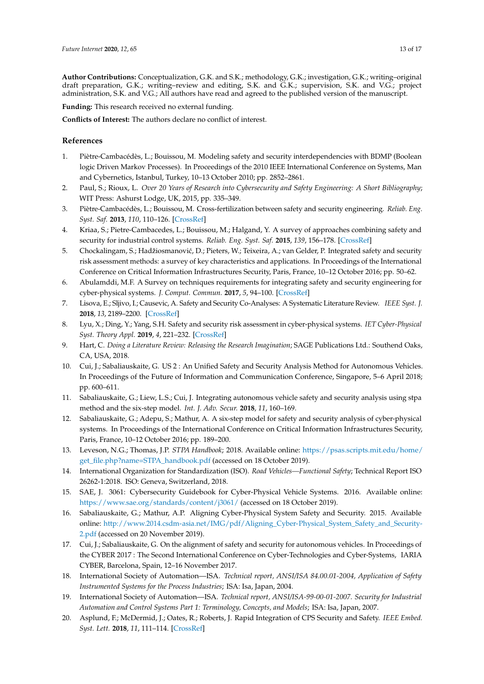**Author Contributions:** Conceptualization, G.K. and S.K.; methodology, G.K.; investigation, G.K.; writing–original draft preparation, G.K.; writing–review and editing, S.K. and G.K.; supervision, S.K. and V.G.; project administration, S.K. and V.G.; All authors have read and agreed to the published version of the manuscript.

**Funding:** This research received no external funding.

**Conflicts of Interest:** The authors declare no conflict of interest.

# **References**

- <span id="page-12-0"></span>1. Piètre-Cambacédès, L.; Bouissou, M. Modeling safety and security interdependencies with BDMP (Boolean logic Driven Markov Processes). In Proceedings of the 2010 IEEE International Conference on Systems, Man and Cybernetics, Istanbul, Turkey, 10–13 October 2010; pp. 2852–2861.
- <span id="page-12-1"></span>2. Paul, S.; Rioux, L. *Over 20 Years of Research into Cybersecurity and Safety Engineering: A Short Bibliography*; WIT Press: Ashurst Lodge, UK, 2015, pp. 335–349.
- <span id="page-12-2"></span>3. Piètre-Cambacédès, L.; Bouissou, M. Cross-fertilization between safety and security engineering. *Reliab. Eng. Syst. Saf.* **2013**, *110*, 110–126. [\[CrossRef\]](http://dx.doi.org/10.1016/j.ress.2012.09.011)
- <span id="page-12-3"></span>4. Kriaa, S.; Pietre-Cambacedes, L.; Bouissou, M.; Halgand, Y. A survey of approaches combining safety and security for industrial control systems. *Reliab. Eng. Syst. Saf.* **2015**, *139*, 156–178. [\[CrossRef\]](http://dx.doi.org/10.1016/j.ress.2015.02.008)
- <span id="page-12-4"></span>5. Chockalingam, S.; Hadžiosmanović, D.; Pieters, W.; Teixeira, A.; van Gelder, P. Integrated safety and security risk assessment methods: a survey of key characteristics and applications. In Proceedings of the International Conference on Critical Information Infrastructures Security, Paris, France, 10–12 October 2016; pp. 50–62.
- <span id="page-12-5"></span>6. Abulamddi, M.F. A Survey on techniques requirements for integrating safety and security engineering for cyber-physical systems. *J. Comput. Commun.* **2017**, *5*, 94–100. [\[CrossRef\]](http://dx.doi.org/10.4236/jcc.2017.51008)
- <span id="page-12-6"></span>7. Lisova, E.; Sljivo, I.; Causevic, A. Safety and Security Co-Analyses: A Systematic Literature Review. *IEEE Syst. J.* **2018**, *13*, 2189–2200. [\[CrossRef\]](http://dx.doi.org/10.1109/JSYST.2018.2881017)
- <span id="page-12-7"></span>8. Lyu, X.; Ding, Y.; Yang, S.H. Safety and security risk assessment in cyber-physical systems. *IET Cyber-Physical Syst. Theory Appl.* **2019**, *4*, 221–232. [\[CrossRef\]](http://dx.doi.org/10.1049/iet-cps.2018.5068)
- <span id="page-12-8"></span>9. Hart, C. *Doing a Literature Review: Releasing the Research Imagination*; SAGE Publications Ltd.: Southend Oaks, CA, USA, 2018.
- <span id="page-12-9"></span>10. Cui, J.; Sabaliauskaite, G. US 2 : An Unified Safety and Security Analysis Method for Autonomous Vehicles. In Proceedings of the Future of Information and Communication Conference, Singapore, 5–6 April 2018; pp. 600–611.
- <span id="page-12-10"></span>11. Sabaliauskaite, G.; Liew, L.S.; Cui, J. Integrating autonomous vehicle safety and security analysis using stpa method and the six-step model. *Int. J. Adv. Secur.* **2018**, *11*, 160–169.
- <span id="page-12-11"></span>12. Sabaliauskaite, G.; Adepu, S.; Mathur, A. A six-step model for safety and security analysis of cyber-physical systems. In Proceedings of the International Conference on Critical Information Infrastructures Security, Paris, France, 10–12 October 2016; pp. 189–200.
- <span id="page-12-12"></span>13. Leveson, N.G.; Thomas, J.P. *STPA Handbook*; 2018. Available online: [https://psas.scripts.mit.edu/home/](https://psas.scripts.mit.edu/home/get_file.php?name=STPA_handbook.pdf) [get\\_file.php?name=STPA\\_handbook.pdf](https://psas.scripts.mit.edu/home/get_file.php?name=STPA_handbook.pdf) (accessed on 18 October 2019).
- <span id="page-12-13"></span>14. International Organization for Standardization (ISO). *Road Vehicles—Functional Safety*; Technical Report ISO 26262-1:2018. ISO: Geneva, Switzerland, 2018.
- <span id="page-12-14"></span>15. SAE, J. 3061: Cybersecurity Guidebook for Cyber-Physical Vehicle Systems. 2016. Available online: <https://www.sae.org/standards/content/j3061/> (accessed on 18 October 2019).
- <span id="page-12-15"></span>16. Sabaliauskaite, G.; Mathur, A.P. Aligning Cyber-Physical System Safety and Security. 2015. Available online: [http://www.2014.csdm-asia.net/IMG/pdf/Aligning\\_Cyber-Physical\\_System\\_Safety\\_and\\_Security-](http://www.2014.csdm-asia.net/IMG/pdf/Aligning_Cyber-Physical_System_Safety_and_Security-2.pdf)[2.pdf](http://www.2014.csdm-asia.net/IMG/pdf/Aligning_Cyber-Physical_System_Safety_and_Security-2.pdf) (accessed on 20 November 2019).
- <span id="page-12-16"></span>17. Cui, J.; Sabaliauskaite, G. On the alignment of safety and security for autonomous vehicles. In Proceedings of the CYBER 2017 : The Second International Conference on Cyber-Technologies and Cyber-Systems, IARIA CYBER, Barcelona, Spain, 12–16 November 2017.
- <span id="page-12-17"></span>18. International Society of Automation—ISA. *Technical report, ANSI/ISA 84.00.01-2004, Application of Safety Instrumented Systems for the Process Industries*; ISA: Isa, Japan, 2004.
- <span id="page-12-18"></span>19. International Society of Automation—ISA. *Technical report, ANSI/ISA-99-00-01-2007. Security for Industrial Automation and Control Systems Part 1: Terminology, Concepts, and Models*; ISA: Isa, Japan, 2007.
- <span id="page-12-19"></span>20. Asplund, F.; McDermid, J.; Oates, R.; Roberts, J. Rapid Integration of CPS Security and Safety. *IEEE Embed. Syst. Lett.* **2018**, *11*, 111–114. [\[CrossRef\]](http://dx.doi.org/10.1109/LES.2018.2879631)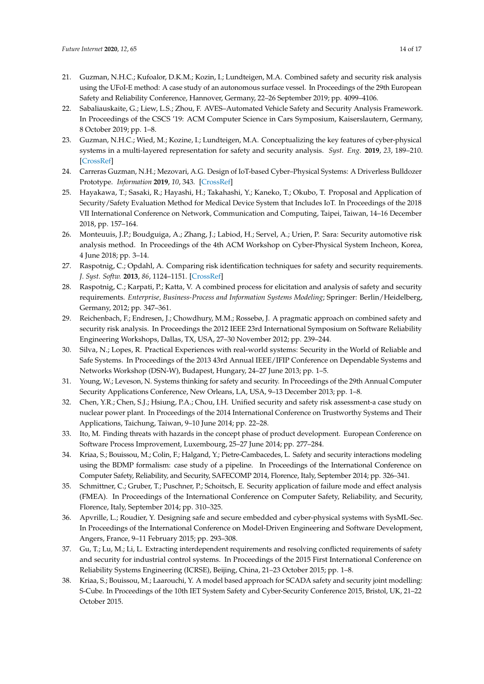- <span id="page-13-0"></span>21. Guzman, N.H.C.; Kufoalor, D.K.M.; Kozin, I.; Lundteigen, M.A. Combined safety and security risk analysis using the UFoI-E method: A case study of an autonomous surface vessel. In Proceedings of the 29th European Safety and Reliability Conference, Hannover, Germany, 22–26 September 2019; pp. 4099–4106.
- <span id="page-13-1"></span>22. Sabaliauskaite, G.; Liew, L.S.; Zhou, F. AVES–Automated Vehicle Safety and Security Analysis Framework. In Proceedings of the CSCS '19: ACM Computer Science in Cars Symposium, Kaiserslautern, Germany, 8 October 2019; pp. 1–8.
- <span id="page-13-2"></span>23. Guzman, N.H.C.; Wied, M.; Kozine, I.; Lundteigen, M.A. Conceptualizing the key features of cyber-physical systems in a multi-layered representation for safety and security analysis. *Syst. Eng.* **2019**, *23*, 189–210. [\[CrossRef\]](http://dx.doi.org/10.1002/sys.21509)
- <span id="page-13-3"></span>24. Carreras Guzman, N.H.; Mezovari, A.G. Design of IoT-based Cyber–Physical Systems: A Driverless Bulldozer Prototype. *Information* **2019**, *10*, 343. [\[CrossRef\]](http://dx.doi.org/10.3390/info10110343)
- <span id="page-13-4"></span>25. Hayakawa, T.; Sasaki, R.; Hayashi, H.; Takahashi, Y.; Kaneko, T.; Okubo, T. Proposal and Application of Security/Safety Evaluation Method for Medical Device System that Includes IoT. In Proceedings of the 2018 VII International Conference on Network, Communication and Computing, Taipei, Taiwan, 14–16 December 2018, pp. 157–164.
- <span id="page-13-5"></span>26. Monteuuis, J.P.; Boudguiga, A.; Zhang, J.; Labiod, H.; Servel, A.; Urien, P. Sara: Security automotive risk analysis method. In Proceedings of the 4th ACM Workshop on Cyber-Physical System Incheon, Korea, 4 June 2018; pp. 3–14.
- <span id="page-13-6"></span>27. Raspotnig, C.; Opdahl, A. Comparing risk identification techniques for safety and security requirements. *J. Syst. Softw.* **2013**, *86*, 1124–1151. [\[CrossRef\]](http://dx.doi.org/10.1016/j.jss.2012.12.002)
- <span id="page-13-7"></span>28. Raspotnig, C.; Karpati, P.; Katta, V. A combined process for elicitation and analysis of safety and security requirements. *Enterprise, Business-Process and Information Systems Modeling*; Springer: Berlin/Heidelberg, Germany, 2012; pp. 347–361.
- <span id="page-13-8"></span>29. Reichenbach, F.; Endresen, J.; Chowdhury, M.M.; Rossebø, J. A pragmatic approach on combined safety and security risk analysis. In Proceedings the 2012 IEEE 23rd International Symposium on Software Reliability Engineering Workshops, Dallas, TX, USA, 27–30 November 2012; pp. 239–244.
- <span id="page-13-9"></span>30. Silva, N.; Lopes, R. Practical Experiences with real-world systems: Security in the World of Reliable and Safe Systems. In Proceedings of the 2013 43rd Annual IEEE/IFIP Conference on Dependable Systems and Networks Workshop (DSN-W), Budapest, Hungary, 24–27 June 2013; pp. 1–5.
- <span id="page-13-10"></span>31. Young, W.; Leveson, N. Systems thinking for safety and security. In Proceedings of the 29th Annual Computer Security Applications Conference, New Orleans, LA, USA, 9–13 December 2013; pp. 1–8.
- <span id="page-13-11"></span>32. Chen, Y.R.; Chen, S.J.; Hsiung, P.A.; Chou, I.H. Unified security and safety risk assessment-a case study on nuclear power plant. In Proceedings of the 2014 International Conference on Trustworthy Systems and Their Applications, Taichung, Taiwan, 9–10 June 2014; pp. 22–28.
- <span id="page-13-12"></span>33. Ito, M. Finding threats with hazards in the concept phase of product development. European Conference on Software Process Improvement, Luxembourg, 25–27 June 2014; pp. 277–284.
- <span id="page-13-13"></span>34. Kriaa, S.; Bouissou, M.; Colin, F.; Halgand, Y.; Pietre-Cambacedes, L. Safety and security interactions modeling using the BDMP formalism: case study of a pipeline. In Proceedings of the International Conference on Computer Safety, Reliability, and Security, SAFECOMP 2014, Florence, Italy, September 2014; pp. 326–341.
- <span id="page-13-14"></span>35. Schmittner, C.; Gruber, T.; Puschner, P.; Schoitsch, E. Security application of failure mode and effect analysis (FMEA). In Proceedings of the International Conference on Computer Safety, Reliability, and Security, Florence, Italy, September 2014; pp. 310–325.
- <span id="page-13-15"></span>36. Apvrille, L.; Roudier, Y. Designing safe and secure embedded and cyber-physical systems with SysML-Sec. In Proceedings of the International Conference on Model-Driven Engineering and Software Development, Angers, France, 9–11 February 2015; pp. 293–308.
- <span id="page-13-16"></span>37. Gu, T.; Lu, M.; Li, L. Extracting interdependent requirements and resolving conflicted requirements of safety and security for industrial control systems. In Proceedings of the 2015 First International Conference on Reliability Systems Engineering (ICRSE), Beijing, China, 21–23 October 2015; pp. 1–8.
- <span id="page-13-17"></span>38. Kriaa, S.; Bouissou, M.; Laarouchi, Y. A model based approach for SCADA safety and security joint modelling: S-Cube. In Proceedings of the 10th IET System Safety and Cyber-Security Conference 2015, Bristol, UK, 21–22 October 2015.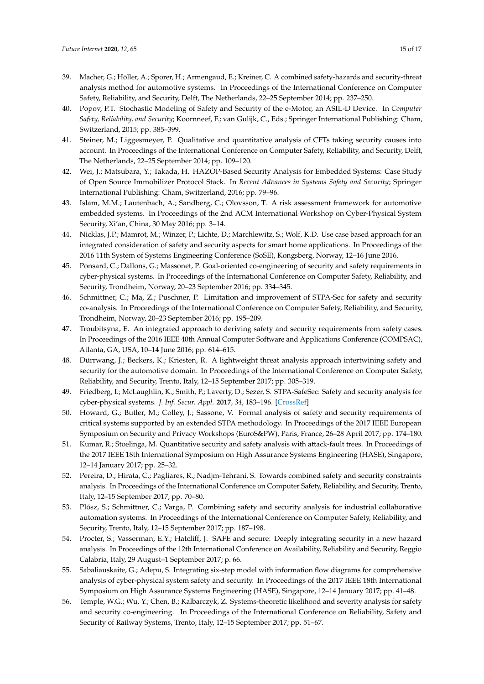- <span id="page-14-0"></span>39. Macher, G.; Höller, A.; Sporer, H.; Armengaud, E.; Kreiner, C. A combined safety-hazards and security-threat analysis method for automotive systems. In Proceedings of the International Conference on Computer Safety, Reliability, and Security, Delft, The Netherlands, 22–25 September 2014; pp. 237–250.
- <span id="page-14-1"></span>40. Popov, P.T. Stochastic Modeling of Safety and Security of the e-Motor, an ASIL-D Device. In *Computer Safety, Reliability, and Security*; Koornneef, F.; van Gulijk, C., Eds.; Springer International Publishing: Cham, Switzerland, 2015; pp. 385–399.
- <span id="page-14-2"></span>41. Steiner, M.; Liggesmeyer, P. Qualitative and quantitative analysis of CFTs taking security causes into account. In Proceedings of the International Conference on Computer Safety, Reliability, and Security, Delft, The Netherlands, 22–25 September 2014; pp. 109–120.
- <span id="page-14-3"></span>42. Wei, J.; Matsubara, Y.; Takada, H. HAZOP-Based Security Analysis for Embedded Systems: Case Study of Open Source Immobilizer Protocol Stack. In *Recent Advances in Systems Safety and Security*; Springer International Publishing: Cham, Switzerland, 2016; pp. 79–96.
- <span id="page-14-4"></span>43. Islam, M.M.; Lautenbach, A.; Sandberg, C.; Olovsson, T. A risk assessment framework for automotive embedded systems. In Proceedings of the 2nd ACM International Workshop on Cyber-Physical System Security, Xi'an, China, 30 May 2016; pp. 3–14.
- <span id="page-14-5"></span>44. Nicklas, J.P.; Mamrot, M.; Winzer, P.; Lichte, D.; Marchlewitz, S.; Wolf, K.D. Use case based approach for an integrated consideration of safety and security aspects for smart home applications. In Proceedings of the 2016 11th System of Systems Engineering Conference (SoSE), Kongsberg, Norway, 12–16 June 2016.
- <span id="page-14-6"></span>45. Ponsard, C.; Dallons, G.; Massonet, P. Goal-oriented co-engineering of security and safety requirements in cyber-physical systems. In Proceedings of the International Conference on Computer Safety, Reliability, and Security, Trondheim, Norway, 20–23 September 2016; pp. 334–345.
- <span id="page-14-7"></span>46. Schmittner, C.; Ma, Z.; Puschner, P. Limitation and improvement of STPA-Sec for safety and security co-analysis. In Proceedings of the International Conference on Computer Safety, Reliability, and Security, Trondheim, Norway, 20–23 September 2016; pp. 195–209.
- <span id="page-14-8"></span>47. Troubitsyna, E. An integrated approach to deriving safety and security requirements from safety cases. In Proceedings of the 2016 IEEE 40th Annual Computer Software and Applications Conference (COMPSAC), Atlanta, GA, USA, 10–14 June 2016; pp. 614–615.
- <span id="page-14-9"></span>48. Dürrwang, J.; Beckers, K.; Kriesten, R. A lightweight threat analysis approach intertwining safety and security for the automotive domain. In Proceedings of the International Conference on Computer Safety, Reliability, and Security, Trento, Italy, 12–15 September 2017; pp. 305–319.
- <span id="page-14-10"></span>49. Friedberg, I.; McLaughlin, K.; Smith, P.; Laverty, D.; Sezer, S. STPA-SafeSec: Safety and security analysis for cyber-physical systems. *J. Inf. Secur. Appl.* **2017**, *34*, 183–196. [\[CrossRef\]](http://dx.doi.org/10.1016/j.jisa.2016.05.008)
- <span id="page-14-11"></span>50. Howard, G.; Butler, M.; Colley, J.; Sassone, V. Formal analysis of safety and security requirements of critical systems supported by an extended STPA methodology. In Proceedings of the 2017 IEEE European Symposium on Security and Privacy Workshops (EuroS&PW), Paris, France, 26–28 April 2017; pp. 174–180.
- <span id="page-14-12"></span>51. Kumar, R.; Stoelinga, M. Quantitative security and safety analysis with attack-fault trees. In Proceedings of the 2017 IEEE 18th International Symposium on High Assurance Systems Engineering (HASE), Singapore, 12–14 January 2017; pp. 25–32.
- <span id="page-14-13"></span>52. Pereira, D.; Hirata, C.; Pagliares, R.; Nadjm-Tehrani, S. Towards combined safety and security constraints analysis. In Proceedings of the International Conference on Computer Safety, Reliability, and Security, Trento, Italy, 12–15 September 2017; pp. 70–80.
- <span id="page-14-14"></span>53. Plósz, S.; Schmittner, C.; Varga, P. Combining safety and security analysis for industrial collaborative automation systems. In Proceedings of the International Conference on Computer Safety, Reliability, and Security, Trento, Italy, 12–15 September 2017; pp. 187–198.
- <span id="page-14-15"></span>54. Procter, S.; Vasserman, E.Y.; Hatcliff, J. SAFE and secure: Deeply integrating security in a new hazard analysis. In Proceedings of the 12th International Conference on Availability, Reliability and Security, Reggio Calabria, Italy, 29 August–1 September 2017; p. 66.
- <span id="page-14-16"></span>55. Sabaliauskaite, G.; Adepu, S. Integrating six-step model with information flow diagrams for comprehensive analysis of cyber-physical system safety and security. In Proceedings of the 2017 IEEE 18th International Symposium on High Assurance Systems Engineering (HASE), Singapore, 12–14 January 2017; pp. 41–48.
- <span id="page-14-17"></span>56. Temple, W.G.; Wu, Y.; Chen, B.; Kalbarczyk, Z. Systems-theoretic likelihood and severity analysis for safety and security co-engineering. In Proceedings of the International Conference on Reliability, Safety and Security of Railway Systems, Trento, Italy, 12–15 September 2017; pp. 51–67.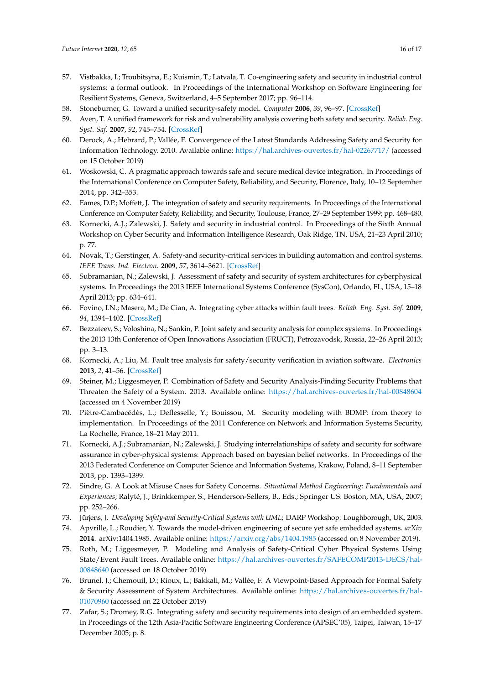- <span id="page-15-0"></span>57. Vistbakka, I.; Troubitsyna, E.; Kuismin, T.; Latvala, T. Co-engineering safety and security in industrial control systems: a formal outlook. In Proceedings of the International Workshop on Software Engineering for Resilient Systems, Geneva, Switzerland, 4–5 September 2017; pp. 96–114.
- <span id="page-15-1"></span>58. Stoneburner, G. Toward a unified security-safety model. *Computer* **2006**, *39*, 96–97. [\[CrossRef\]](http://dx.doi.org/10.1109/MC.2006.283)
- <span id="page-15-2"></span>59. Aven, T. A unified framework for risk and vulnerability analysis covering both safety and security. *Reliab. Eng. Syst. Saf.* **2007**, *92*, 745–754. [\[CrossRef\]](http://dx.doi.org/10.1016/j.ress.2006.03.008)
- <span id="page-15-3"></span>60. Derock, A.; Hebrard, P.; Vallée, F. Convergence of the Latest Standards Addressing Safety and Security for Information Technology. 2010. Available online: <https://hal.archives-ouvertes.fr/hal-02267717/> (accessed on 15 October 2019)
- <span id="page-15-4"></span>61. Woskowski, C. A pragmatic approach towards safe and secure medical device integration. In Proceedings of the International Conference on Computer Safety, Reliability, and Security, Florence, Italy, 10–12 September 2014, pp. 342–353.
- <span id="page-15-5"></span>62. Eames, D.P.; Moffett, J. The integration of safety and security requirements. In Proceedings of the International Conference on Computer Safety, Reliability, and Security, Toulouse, France, 27–29 September 1999; pp. 468–480.
- <span id="page-15-6"></span>63. Kornecki, A.J.; Zalewski, J. Safety and security in industrial control. In Proceedings of the Sixth Annual Workshop on Cyber Security and Information Intelligence Research, Oak Ridge, TN, USA, 21–23 April 2010; p. 77.
- <span id="page-15-7"></span>64. Novak, T.; Gerstinger, A. Safety-and security-critical services in building automation and control systems. *IEEE Trans. Ind. Electron.* **2009**, *57*, 3614–3621. [\[CrossRef\]](http://dx.doi.org/10.1109/TIE.2009.2028364)
- <span id="page-15-8"></span>65. Subramanian, N.; Zalewski, J. Assessment of safety and security of system architectures for cyberphysical systems. In Proceedings the 2013 IEEE International Systems Conference (SysCon), Orlando, FL, USA, 15–18 April 2013; pp. 634–641.
- <span id="page-15-9"></span>66. Fovino, I.N.; Masera, M.; De Cian, A. Integrating cyber attacks within fault trees. *Reliab. Eng. Syst. Saf.* **2009**, *94*, 1394–1402. [\[CrossRef\]](http://dx.doi.org/10.1016/j.ress.2009.02.020)
- <span id="page-15-10"></span>67. Bezzateev, S.; Voloshina, N.; Sankin, P. Joint safety and security analysis for complex systems. In Proceedings the 2013 13th Conference of Open Innovations Association (FRUCT), Petrozavodsk, Russia, 22–26 April 2013; pp. 3–13.
- <span id="page-15-11"></span>68. Kornecki, A.; Liu, M. Fault tree analysis for safety/security verification in aviation software. *Electronics* **2013**, *2*, 41–56. [\[CrossRef\]](http://dx.doi.org/10.3390/electronics2010041)
- <span id="page-15-12"></span>69. Steiner, M.; Liggesmeyer, P. Combination of Safety and Security Analysis-Finding Security Problems that Threaten the Safety of a System. 2013. Available online: <https://hal.archives-ouvertes.fr/hal-00848604> (accessed on 4 November 2019)
- <span id="page-15-13"></span>70. Piètre-Cambacédès, L.; Deflesselle, Y.; Bouissou, M. Security modeling with BDMP: from theory to implementation. In Proceedings of the 2011 Conference on Network and Information Systems Security, La Rochelle, France, 18–21 May 2011.
- <span id="page-15-14"></span>71. Kornecki, A.J.; Subramanian, N.; Zalewski, J. Studying interrelationships of safety and security for software assurance in cyber-physical systems: Approach based on bayesian belief networks. In Proceedings of the 2013 Federated Conference on Computer Science and Information Systems, Krakow, Poland, 8–11 September 2013, pp. 1393–1399.
- <span id="page-15-15"></span>72. Sindre, G. A Look at Misuse Cases for Safety Concerns. *Situational Method Engineering: Fundamentals and Experiences*; Ralyté, J.; Brinkkemper, S.; Henderson-Sellers, B., Eds.; Springer US: Boston, MA, USA, 2007; pp. 252–266.
- <span id="page-15-16"></span>73. Jürjens, J. *Developing Safety-and Security-Critical Systems with UML*; DARP Workshop: Loughborough, UK, 2003.
- <span id="page-15-17"></span>74. Apvrille, L.; Roudier, Y. Towards the model-driven engineering of secure yet safe embedded systems. *arXiv* **2014**. arXiv:1404.1985. Available online: <https://arxiv.org/abs/1404.1985> (accessed on 8 November 2019).
- <span id="page-15-18"></span>75. Roth, M.; Liggesmeyer, P. Modeling and Analysis of Safety-Critical Cyber Physical Systems Using State/Event Fault Trees. Available online: [https://hal.archives-ouvertes.fr/SAFECOMP2013-DECS/hal-](https://hal.archives-ouvertes.fr/SAFECOMP2013-DECS/hal-00848640)[00848640](https://hal.archives-ouvertes.fr/SAFECOMP2013-DECS/hal-00848640) (accessed on 18 October 2019)
- <span id="page-15-19"></span>76. Brunel, J.; Chemouil, D.; Rioux, L.; Bakkali, M.; Vallée, F. A Viewpoint-Based Approach for Formal Safety & Security Assessment of System Architectures. Available online: [https://hal.archives-ouvertes.fr/hal-](https://hal.archives-ouvertes.fr/hal-01070960)[01070960](https://hal.archives-ouvertes.fr/hal-01070960) (accessed on 22 October 2019)
- <span id="page-15-20"></span>77. Zafar, S.; Dromey, R.G. Integrating safety and security requirements into design of an embedded system. In Proceedings of the 12th Asia-Pacific Software Engineering Conference (APSEC'05), Taipei, Taiwan, 15–17 December 2005; p. 8.